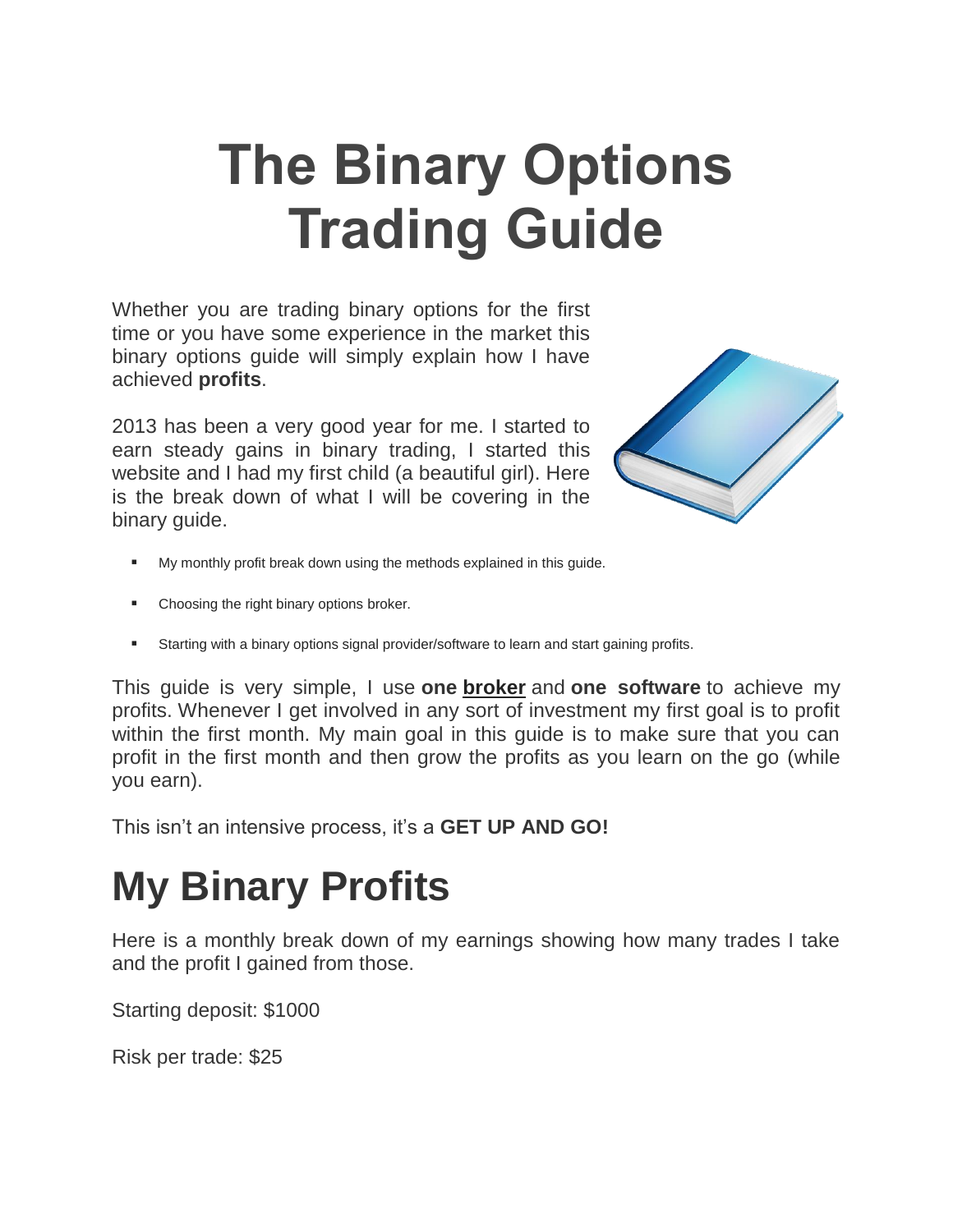# **The Binary Options Trading Guide**

Whether you are trading binary options for the first time or you have some experience in the market this binary options guide will simply explain how I have achieved **profits**.

2013 has been a very good year for me. I started to earn steady gains in binary trading, I started this website and I had my first child (a beautiful girl). Here is the break down of what I will be covering in the binary guide.



- My monthly profit break down using the methods explained in this guide.
- Choosing the right binary options broker.
- Starting with a binary options signal provider/software to learn and start gaining profits.

This guide is very simple, I use **one [broker](http://binarytoday.com/brokers/)** and **one software** to achieve my profits. Whenever I get involved in any sort of investment my first goal is to profit within the first month. My main goal in this quide is to make sure that you can profit in the first month and then grow the profits as you learn on the go (while you earn).

This isn't an intensive process, it's a **GET UP AND GO!**

## **My Binary Profits**

Here is a monthly break down of my earnings showing how many trades I take and the profit I gained from those.

Starting deposit: \$1000

Risk per trade: \$25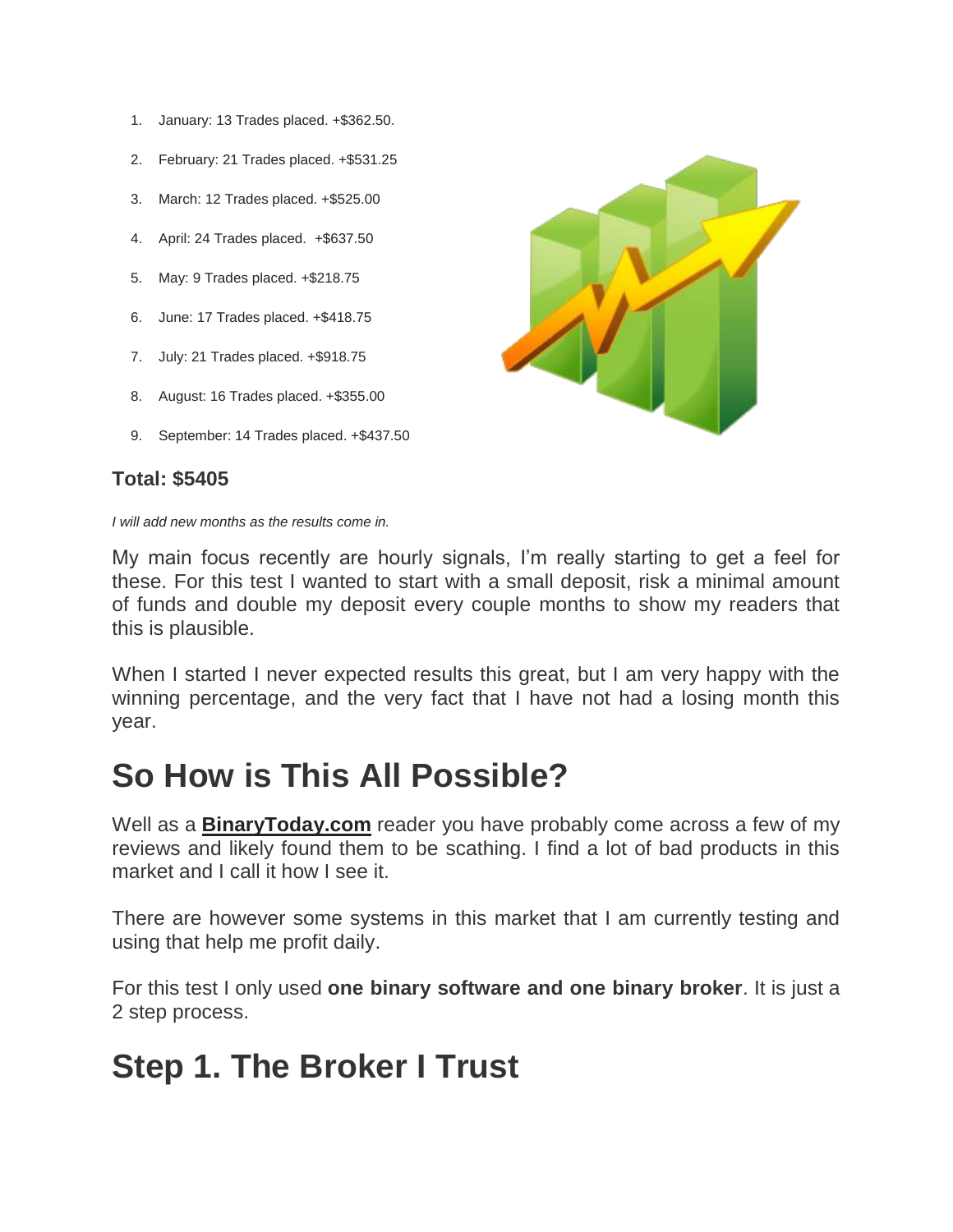- 1. January: 13 Trades placed. +\$362.50.
- 2. February: 21 Trades placed. +\$531.25
- 3. March: 12 Trades placed. +\$525.00
- 4. April: 24 Trades placed. +\$637.50
- 5. May: 9 Trades placed. +\$218.75
- 6. June: 17 Trades placed. +\$418.75
- 7. July: 21 Trades placed. +\$918.75
- 8. August: 16 Trades placed. +\$355.00
- 9. September: 14 Trades placed. +\$437.50

#### **Total: \$5405**

*I will add new months as the results come in.*

My main focus recently are hourly signals, I'm really starting to get a feel for these. For this test I wanted to start with a small deposit, risk a minimal amount of funds and double my deposit every couple months to show my readers that this is plausible.

When I started I never expected results this great, but I am very happy with the winning percentage, and the very fact that I have not had a losing month this year.

#### **So How is This All Possible?**

Well as a **[BinaryToday.com](http://binarytoday.com/)** reader you have probably come across a few of my reviews and likely found them to be scathing. I find a lot of bad products in this market and I call it how I see it.

There are however some systems in this market that I am currently testing and using that help me profit daily.

For this test I only used **one binary software and one binary broker**. It is just a 2 step process.

#### **Step 1. The Broker I Trust**

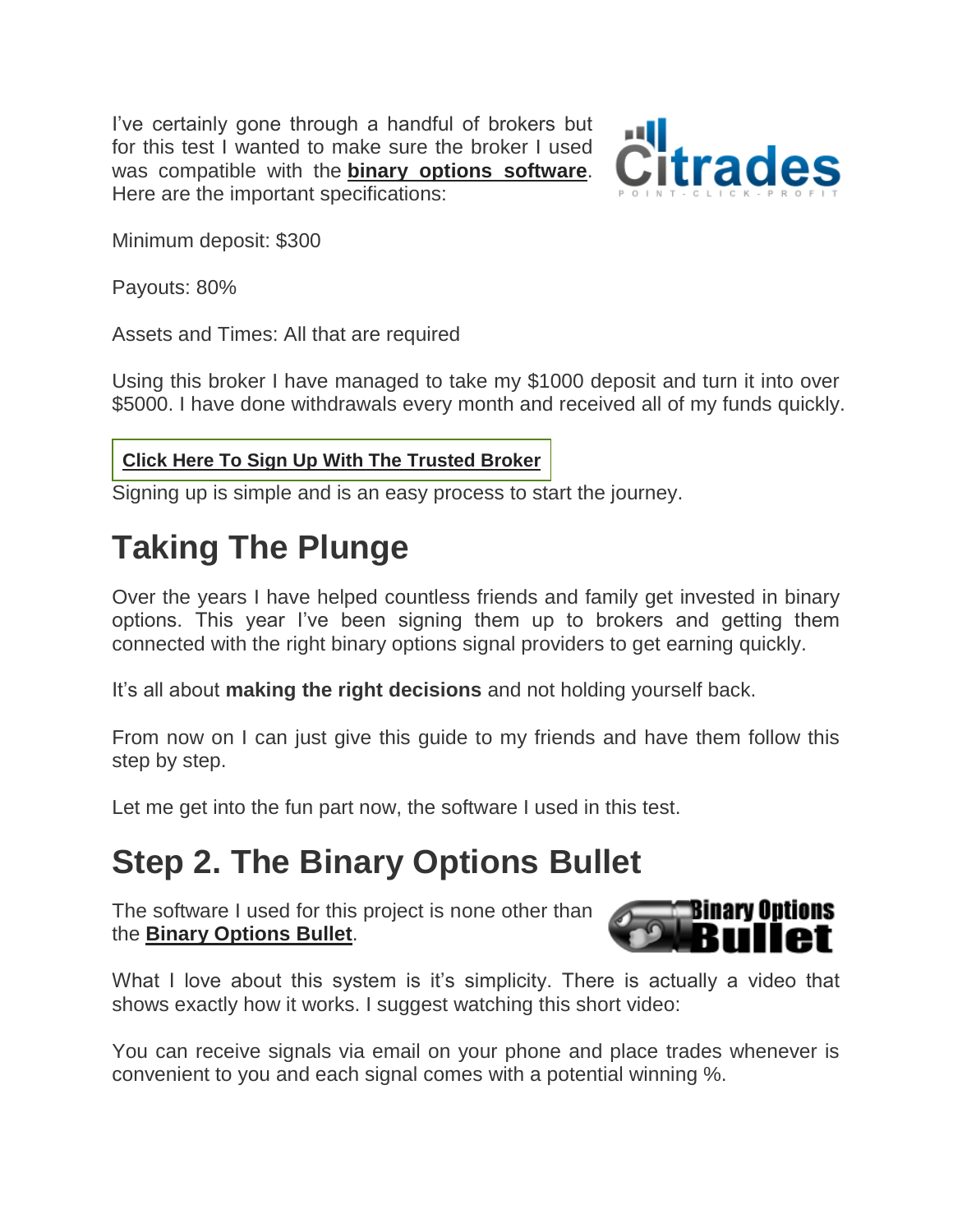I've certainly gone through a handful of brokers but for this test I wanted to make sure the broker I used was compatible with the **[binary options software](http://binarytoday.com/software-signals/)**. Here are the important specifications:



Minimum deposit: \$300

Payouts: 80%

Assets and Times: All that are required

Using this broker I have managed to take my \$1000 deposit and turn it into over \$5000. I have done withdrawals every month and received all of my funds quickly.

#### **Click Here To Sign Up With The [Trusted](http://binarytoday.com/citrades) Broker**

Signing up is simple and is an easy process to start the journey.

### **Taking The Plunge**

Over the years I have helped countless friends and family get invested in binary options. This year I've been signing them up to brokers and getting them connected with the right binary options signal providers to get earning quickly.

It's all about **making the right decisions** and not holding yourself back.

From now on I can just give this guide to my friends and have them follow this step by step.

Let me get into the fun part now, the software I used in this test.

#### **Step 2. The Binary Options Bullet**

The software I used for this project is none other than the **[Binary Options Bullet](http://binarytoday.com/binary-options-bullet/)**.



What I love about this system is it's simplicity. There is actually a video that shows exactly how it works. I suggest watching this short video:

You can receive signals via email on your phone and place trades whenever is convenient to you and each signal comes with a potential winning %.